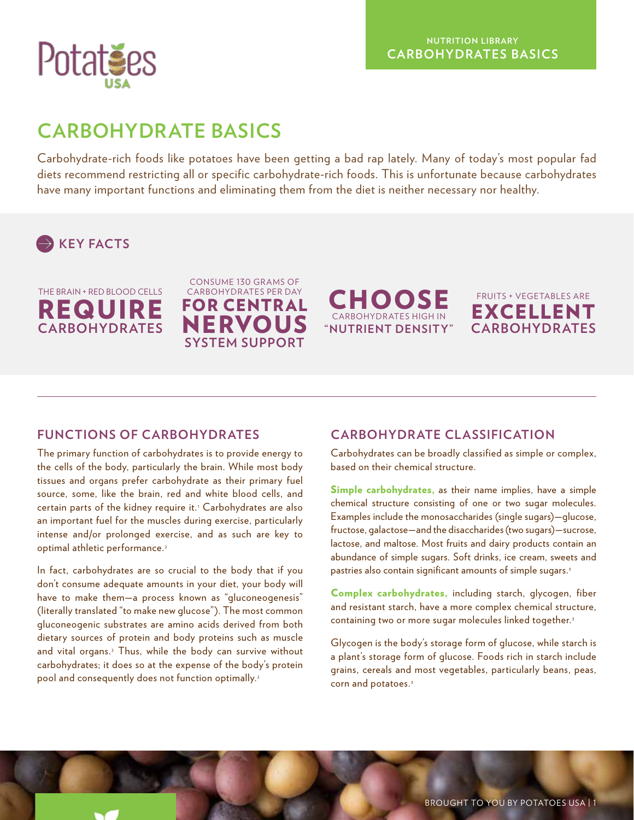

# **CARBOHYDRATE BASICS**

Carbohydrate-rich foods like potatoes have been getting a bad rap lately. Many of today's most popular fad diets recommend restricting all or specific carbohydrate-rich foods. This is unfortunate because carbohydrates have many important functions and eliminating them from the diet is neither necessary nor healthy.





CONSUME 130 GRAMS OF CARBOHYDRATES PER DAY FOR CENTR AL NERVOU **SYSTEM SUPPORT**





### **FUNCTIONS OF CARBOHYDRATES**

The primary function of carbohydrates is to provide energy to the cells of the body, particularly the brain. While most body tissues and organs prefer carbohydrate as their primary fuel source, some, like the brain, red and white blood cells, and certain parts of the kidney require it.<sup>1</sup> Carbohydrates are also an important fuel for the muscles during exercise, particularly intense and/or prolonged exercise, and as such are key to optimal athletic performance.<sup>2</sup>

In fact, carbohydrates are so crucial to the body that if you don't consume adequate amounts in your diet, your body will have to make them—a process known as "gluconeogenesis" (literally translated "to make new glucose"). The most common gluconeogenic substrates are amino acids derived from both dietary sources of protein and body proteins such as muscle and vital organs.<sup>2</sup> Thus, while the body can survive without carbohydrates; it does so at the expense of the body's protein pool and consequently does not function optimally.<sup>2</sup>

## **CARBOHYDRATE CLASSIFICATION**

Carbohydrates can be broadly classified as simple or complex, based on their chemical structure.

Simple carbohydrates, as their name implies, have a simple chemical structure consisting of one or two sugar molecules. Examples include the monosaccharides (single sugars)—glucose, fructose, galactose—and the disaccharides (two sugars)—sucrose, lactose, and maltose. Most fruits and dairy products contain an abundance of simple sugars. Soft drinks, ice cream, sweets and pastries also contain significant amounts of simple sugars. <sup>3</sup>

Complex carbohydrates, including starch, glycogen, fiber and resistant starch, have a more complex chemical structure, containing two or more sugar molecules linked together.<sup>3</sup>

Glycogen is the body's storage form of glucose, while starch is a plant's storage form of glucose. Foods rich in starch include grains, cereals and most vegetables, particularly beans, peas, corn and potatoes.<sup>3</sup>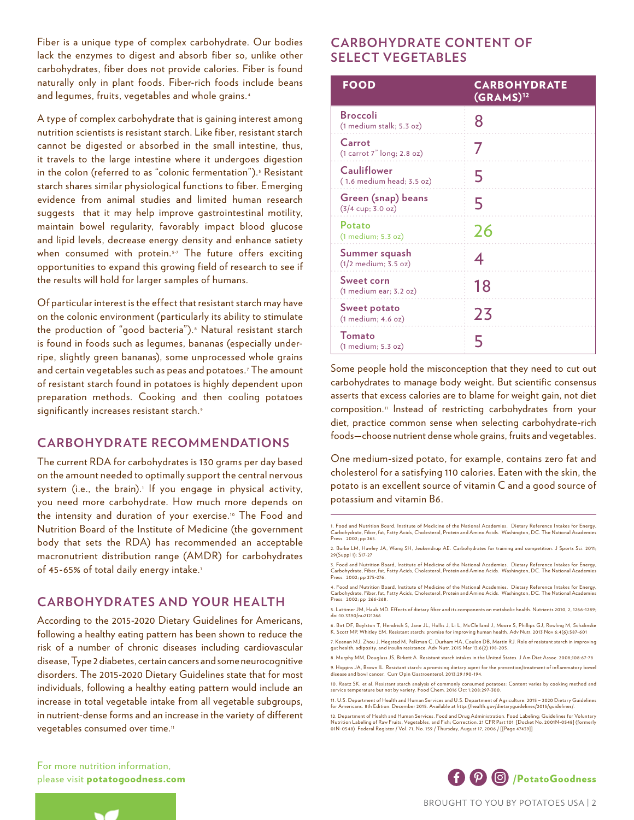Fiber is a unique type of complex carbohydrate. Our bodies lack the enzymes to digest and absorb fiber so, unlike other carbohydrates, fiber does not provide calories. Fiber is found naturally only in plant foods. Fiber-rich foods include beans and legumes, fruits, vegetables and whole grains. <sup>4</sup>

A type of complex carbohydrate that is gaining interest among nutrition scientists is resistant starch. Like fiber, resistant starch cannot be digested or absorbed in the small intestine, thus, it travels to the large intestine where it undergoes digestion in the colon (referred to as "colonic fermentation"). <sup>5</sup> Resistant starch shares similar physiological functions to fiber. Emerging evidence from animal studies and limited human research suggests that it may help improve gastrointestinal motility, maintain bowel regularity, favorably impact blood glucose and lipid levels, decrease energy density and enhance satiety when consumed with protein.<sup>5-7</sup> The future offers exciting opportunities to expand this growing field of research to see if the results will hold for larger samples of humans.

Of particular interest is the effect that resistant starch may have on the colonic environment (particularly its ability to stimulate the production of "good bacteria").<sup>8</sup> Natural resistant starch is found in foods such as legumes, bananas (especially underripe, slightly green bananas), some unprocessed whole grains and certain vegetables such as peas and potatoes. <sup>7</sup> The amount of resistant starch found in potatoes is highly dependent upon preparation methods. Cooking and then cooling potatoes significantly increases resistant starch.<sup>9</sup>

#### **CARBOHYDRATE RECOMMENDATIONS**

The current RDA for carbohydrates is 130 grams per day based on the amount needed to optimally support the central nervous system (i.e., the brain).<sup>1</sup> If you engage in physical activity, you need more carbohydrate. How much more depends on the intensity and duration of your exercise.10 The Food and Nutrition Board of the Institute of Medicine (the government body that sets the RDA) has recommended an acceptable macronutrient distribution range (AMDR) for carbohydrates of 45-65% of total daily energy intake.<sup>1</sup>

#### **CARBOHYDRATES AND YOUR HEALTH**

According to the 2015-2020 Dietary Guidelines for Americans, following a healthy eating pattern has been shown to reduce the risk of a number of chronic diseases including cardiovascular disease, Type 2 diabetes, certain cancers and some neurocognitive disorders. The 2015-2020 Dietary Guidelines state that for most individuals, following a healthy eating pattern would include an increase in total vegetable intake from all vegetable subgroups, in nutrient-dense forms and an increase in the variety of different vegetables consumed over time.<sup>11</sup>

## **CARBOHYDRATE CONTENT OF SELECT VEGETABLES**

| FOOD                                                      | <b>CARBOHYDRATE</b><br>(GRAMS) <sup>12</sup> |
|-----------------------------------------------------------|----------------------------------------------|
| <b>Broccoli</b><br>(1 medium stalk; 5.3 oz)               |                                              |
| Carrot<br>(1 carrot 7" long; 2.8 oz)                      |                                              |
| <b>Cauliflower</b><br>(1.6 medium head; 3.5 oz)           | 5                                            |
| Green (snap) beans<br>$(3/4 \text{ cup}; 3.0 \text{ oz})$ | 5                                            |
| Potato<br>(1 medium; 5.3 oz)                              | 26                                           |
| Summer squash<br>(1/2 medium; 3.5 oz)                     | 4                                            |
| Sweet corn<br>$(1$ medium ear; $3.2$ oz)                  | 18                                           |
| <b>Sweet potato</b><br>(1 medium; 4.6 oz)                 | 23                                           |
| <b>Tomato</b><br>$(1$ medium; $5.3$ oz $)$                |                                              |

Some people hold the misconception that they need to cut out carbohydrates to manage body weight. But scientific consensus asserts that excess calories are to blame for weight gain, not diet composition.<sup>11</sup> Instead of restricting carbohydrates from your diet, practice common sense when selecting carbohydrate-rich foods—choose nutrient dense whole grains, fruits and vegetables.

One medium-sized potato, for example, contains zero fat and cholesterol for a satisfying 110 calories. Eaten with the skin, the potato is an excellent source of vitamin C and a good source of potassium and vitamin B6.

For more nutrition information,





<sup>1.</sup> Food and Nutrition Board, Institute of Medicine of the National Academies. Dietary Reference Intakes for Energy, Carbohydrate, Fiber, fat, Fatty Acids, Cholesterol, Protein and Amino Acids. Washington, DC. The National Academies Press. 2002; pp 265.

<sup>2.</sup> Burke LM, Hawley JA, Wong SH, Jeukendrup AE. Carbohydrates for training and competition. J Sports Sci. 2011; 29(Suppl 1): S17-27

<sup>3.</sup> Food and Nutrition Board, Institute of Medicine of the National Academies. Dietary Reference Intakes for Energy,<br>Carbohydrate, Fiber, fat, Fatty Acids, Cholesterol, Protein and Amino Acids. Washington, DC. The National Press. 2002; pp 275-276.

<sup>4.</sup> Food and Nutrition Board, Institute of Medicine of the National Academies. Dietary Reference Intakes for Energy,<br>Carbohydrate, Fiber, fat, Fatty Acids, Cholesterol, Protein and Amino Acids. Washington, DC. The National Press. 2002; pp 266-268.

<sup>5.</sup> Lattimer JM, Haub MD. Effects of dietary fiber and its components on metabolic health. Nutrients 2010, 2, 1266-1289; doi:10.3390/nu2121266

<sup>6.</sup> Birt DF, Boylston T, Hendrich S, Jane JL, Hollis J, Li L, McClelland J, Moore S, Phillips GJ, Rowling M, Schalinske<br>K, Scott MP, Whitley EM. Resistant starch: promise for improving human health. Adv Nutr. 2013 Nov 6;4(6

<sup>7.</sup> Keenan MJ, Zhou J, Hegsted M, Pelkman C, Durham HA, Coulon DB, Martin RJ. Role of resistant starch in improving<br>gut health, adiposity, and insulin resistance. Adv Nutr. 2015 Mar 13;6(2):198-205.

<sup>8.</sup> Murphy MM, Douglass JS, Birkett A. Resistant starch intakes in the United States. J Am Diet Assoc. 2008;108:67-78

<sup>9.</sup> Higgins JA, Brown IL. Resistant starch: a promising dietary agent for the prevention/treatment of inflammatory bowel disease and bowl cancer. Curr Opin Gastroenterol. 2013;29:190-194.

<sup>10.</sup> Raatz SK, et al. Resistant starch analysis of commonly consumed potatoes: Content varies by cooking method and service temperature but not by variety. Food Chem. 2016 Oct 1;208:297-300.

<sup>11.</sup> U.S. Department of Health and Human Services and U.S. Department of Agriculture. 2015 – 2020 Dietary Guidelines for Americans. 8th Edition. December 2015. Available at http://health.gov/dietaryguidelines/2015/guidelines/.

<sup>12.</sup> Department of Health and Human Services. Food and Drug Administration. Food Labeling; Guidelines for Voluntary<br>Nutrition Labeling of Raw Fruits, Vegetables, and Fish; Correction. 21 CFR Part 101 [Docket No. 2001N-0548]